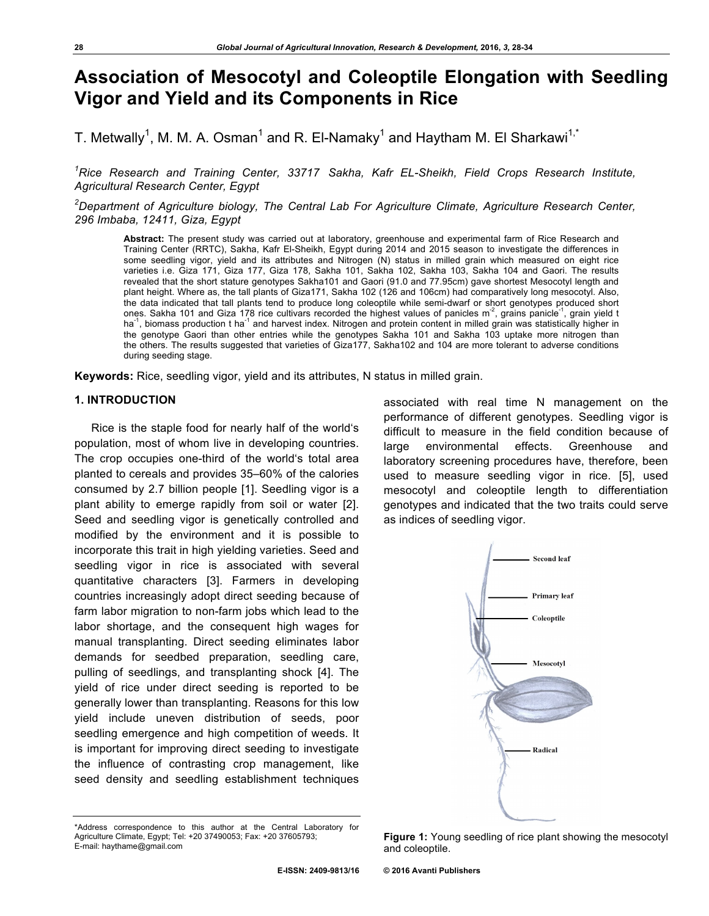# **Association of Mesocotyl and Coleoptile Elongation with Seedling Vigor and Yield and its Components in Rice**

T. Metwally<sup>1</sup>, M. M. A. Osman<sup>1</sup> and R. El-Namaky<sup>1</sup> and Haytham M. El Sharkawi<sup>1,\*</sup>

*1 Rice Research and Training Center, 33717 Sakha, Kafr EL-Sheikh, Field Crops Research Institute, Agricultural Research Center, Egypt*

*2 Department of Agriculture biology, The Central Lab For Agriculture Climate, Agriculture Research Center, 296 Imbaba, 12411, Giza, Egypt*

**Abstract:** The present study was carried out at laboratory, greenhouse and experimental farm of Rice Research and Training Center (RRTC), Sakha, Kafr El-Sheikh, Egypt during 2014 and 2015 season to investigate the differences in some seedling vigor, yield and its attributes and Nitrogen (N) status in milled grain which measured on eight rice varieties i.e. Giza 171, Giza 177, Giza 178, Sakha 101, Sakha 102, Sakha 103, Sakha 104 and Gaori. The results revealed that the short stature genotypes Sakha101 and Gaori (91.0 and 77.95cm) gave shortest Mesocotyl length and plant height. Where as, the tall plants of Giza171, Sakha 102 (126 and 106cm) had comparatively long mesocotyl. Also, the data indicated that tall plants tend to produce long coleoptile while semi-dwarf or short genotypes produced short ones. Sakha 101 and Giza 178 rice cultivars recorded the highest values of panicles m<sup>-2</sup>, grains panicle<sup>-1</sup>, grain yield t ha<sup>-1</sup>, biomass production t ha<sup>-1</sup> and harvest index. Nitrogen and protein content in milled grain was statistically higher in the genotype Gaori than other entries while the genotypes Sakha 101 and Sakha 103 uptake more nitrogen than the others. The results suggested that varieties of Giza177, Sakha102 and 104 are more tolerant to adverse conditions during seeding stage.

**Keywords:** Rice, seedling vigor, yield and its attributes, N status in milled grain.

### **1. INTRODUCTION**

Rice is the staple food for nearly half of the world's population, most of whom live in developing countries. The crop occupies one-third of the world's total area planted to cereals and provides 35–60% of the calories consumed by 2.7 billion people [1]. Seedling vigor is a plant ability to emerge rapidly from soil or water [2]. Seed and seedling vigor is genetically controlled and modified by the environment and it is possible to incorporate this trait in high yielding varieties. Seed and seedling vigor in rice is associated with several quantitative characters [3]. Farmers in developing countries increasingly adopt direct seeding because of farm labor migration to non-farm jobs which lead to the labor shortage, and the consequent high wages for manual transplanting. Direct seeding eliminates labor demands for seedbed preparation, seedling care, pulling of seedlings, and transplanting shock [4]. The yield of rice under direct seeding is reported to be generally lower than transplanting. Reasons for this low yield include uneven distribution of seeds, poor seedling emergence and high competition of weeds. It is important for improving direct seeding to investigate the influence of contrasting crop management, like seed density and seedling establishment techniques associated with real time N management on the performance of different genotypes. Seedling vigor is difficult to measure in the field condition because of large environmental effects. Greenhouse and laboratory screening procedures have, therefore, been used to measure seedling vigor in rice. [5], used mesocotyl and coleoptile length to differentiation genotypes and indicated that the two traits could serve as indices of seedling vigor.



<sup>\*</sup>Address correspondence to this author at the Central Laboratory for Agriculture Climate, Egypt; Tel: +20 37490053; Fax: +20 37605793; E-mail: haythame@gmail.com

**Figure 1:** Young seedling of rice plant showing the mesocotyl and coleoptile.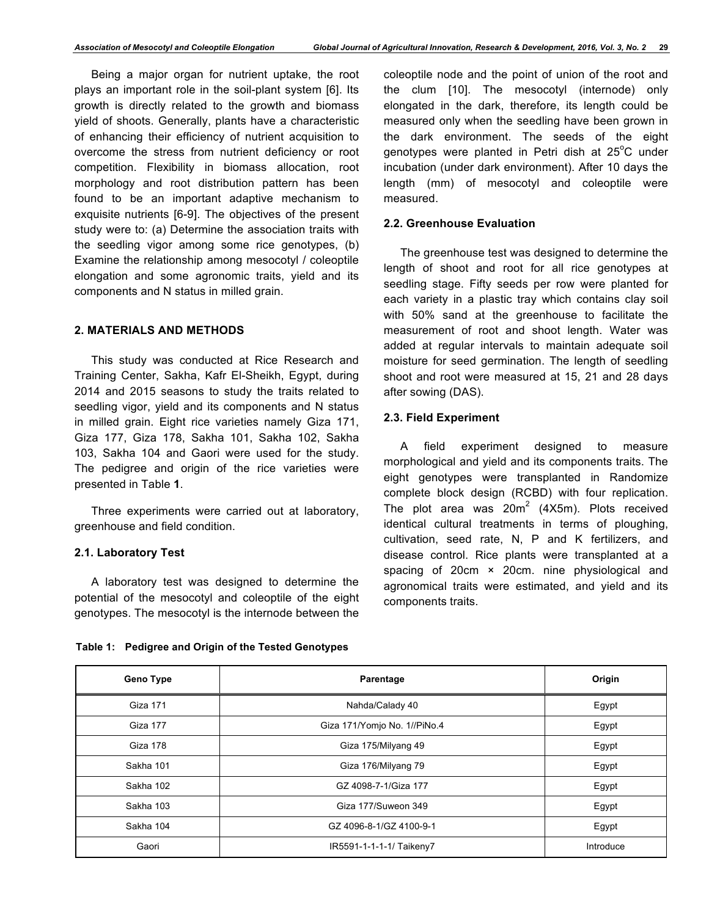Being a major organ for nutrient uptake, the root plays an important role in the soil-plant system [6]. Its growth is directly related to the growth and biomass yield of shoots. Generally, plants have a characteristic of enhancing their efficiency of nutrient acquisition to overcome the stress from nutrient deficiency or root competition. Flexibility in biomass allocation, root morphology and root distribution pattern has been found to be an important adaptive mechanism to exquisite nutrients [6-9]. The objectives of the present study were to: (a) Determine the association traits with the seedling vigor among some rice genotypes, (b) Examine the relationship among mesocotyl / coleoptile elongation and some agronomic traits, yield and its components and N status in milled grain.

## **2. MATERIALS AND METHODS**

This study was conducted at Rice Research and Training Center, Sakha, Kafr El-Sheikh, Egypt, during 2014 and 2015 seasons to study the traits related to seedling vigor, yield and its components and N status in milled grain. Eight rice varieties namely Giza 171, Giza 177, Giza 178, Sakha 101, Sakha 102, Sakha 103, Sakha 104 and Gaori were used for the study. The pedigree and origin of the rice varieties were presented in Table **1**.

Three experiments were carried out at laboratory, greenhouse and field condition.

## **2.1. Laboratory Test**

A laboratory test was designed to determine the potential of the mesocotyl and coleoptile of the eight genotypes. The mesocotyl is the internode between the coleoptile node and the point of union of the root and the clum [10]. The mesocotyl (internode) only elongated in the dark, therefore, its length could be measured only when the seedling have been grown in the dark environment. The seeds of the eight genotypes were planted in Petri dish at 25°C under incubation (under dark environment). After 10 days the length (mm) of mesocotyl and coleoptile were measured.

### **2.2. Greenhouse Evaluation**

The greenhouse test was designed to determine the length of shoot and root for all rice genotypes at seedling stage. Fifty seeds per row were planted for each variety in a plastic tray which contains clay soil with 50% sand at the greenhouse to facilitate the measurement of root and shoot length. Water was added at regular intervals to maintain adequate soil moisture for seed germination. The length of seedling shoot and root were measured at 15, 21 and 28 days after sowing (DAS).

#### **2.3. Field Experiment**

A field experiment designed to measure morphological and yield and its components traits. The eight genotypes were transplanted in Randomize complete block design (RCBD) with four replication. The plot area was  $20m^2$  (4X5m). Plots received identical cultural treatments in terms of ploughing, cultivation, seed rate, N, P and K fertilizers, and disease control. Rice plants were transplanted at a spacing of 20cm × 20cm. nine physiological and agronomical traits were estimated, and yield and its components traits.

| Table 1: Pedigree and Origin of the Tested Genotypes |  |  |  |  |  |  |
|------------------------------------------------------|--|--|--|--|--|--|
|------------------------------------------------------|--|--|--|--|--|--|

| <b>Geno Type</b> | Parentage                    | Origin    |
|------------------|------------------------------|-----------|
| Giza 171         | Nahda/Calady 40              | Egypt     |
| Giza 177         | Giza 171/Yomjo No. 1//PiNo.4 | Egypt     |
| Giza 178         | Giza 175/Milyang 49          | Egypt     |
| Sakha 101        | Giza 176/Milyang 79          | Egypt     |
| Sakha 102        | GZ 4098-7-1/Giza 177         | Egypt     |
| Sakha 103        | Giza 177/Suweon 349          | Egypt     |
| Sakha 104        | GZ 4096-8-1/GZ 4100-9-1      | Egypt     |
| Gaori            | IR5591-1-1-1-1/ Taikeny7     | Introduce |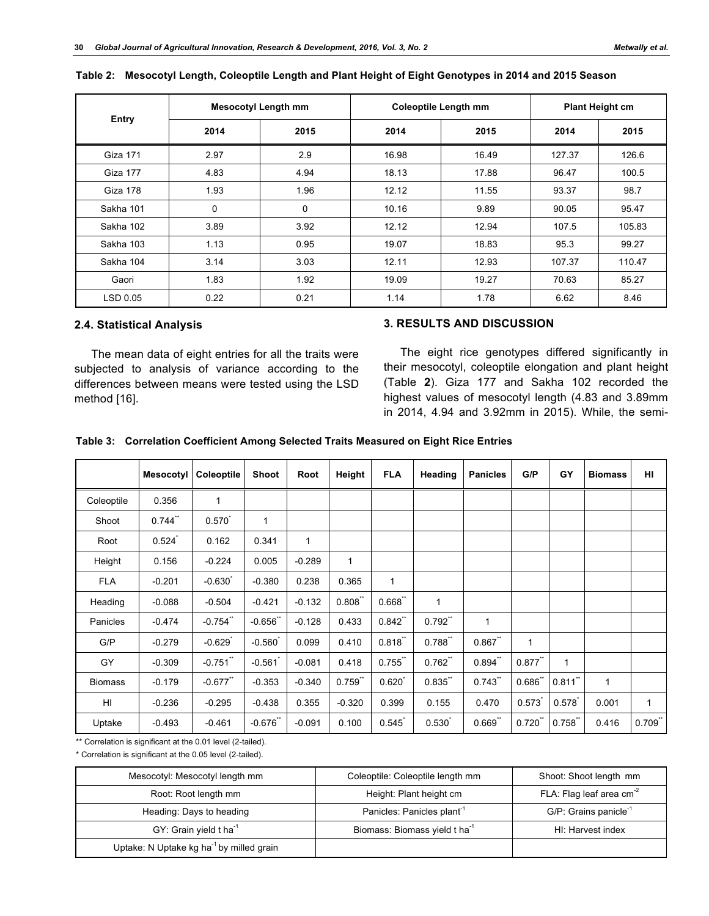|           | <b>Mesocotyl Length mm</b> |      |       | <b>Coleoptile Length mm</b> | <b>Plant Height cm</b> |        |  |
|-----------|----------------------------|------|-------|-----------------------------|------------------------|--------|--|
| Entry     | 2014                       | 2015 | 2014  | 2015                        | 2014                   | 2015   |  |
| Giza 171  | 2.97                       | 2.9  | 16.98 | 16.49                       | 127.37                 | 126.6  |  |
| Giza 177  | 4.83                       | 4.94 | 18.13 | 17.88                       | 96.47                  | 100.5  |  |
| Giza 178  | 1.93                       | 1.96 | 12.12 | 11.55                       | 93.37                  | 98.7   |  |
| Sakha 101 | 0                          | 0    | 10.16 | 9.89                        | 90.05                  | 95.47  |  |
| Sakha 102 | 3.89                       | 3.92 | 12.12 | 12.94                       | 107.5                  | 105.83 |  |
| Sakha 103 | 1.13                       | 0.95 | 19.07 | 18.83                       | 95.3                   | 99.27  |  |
| Sakha 104 | 3.14                       | 3.03 | 12.11 | 12.93                       | 107.37                 | 110.47 |  |
| Gaori     | 1.83                       | 1.92 | 19.09 | 19.27                       | 70.63                  | 85.27  |  |
| LSD 0.05  | 0.22                       | 0.21 | 1.14  | 1.78                        | 6.62                   | 8.46   |  |

#### **Table 2: Mesocotyl Length, Coleoptile Length and Plant Height of Eight Genotypes in 2014 and 2015 Season**

## **2.4. Statistical Analysis**

The mean data of eight entries for all the traits were subjected to analysis of variance according to the differences between means were tested using the LSD method [16].

## **3. RESULTS AND DISCUSSION**

The eight rice genotypes differed significantly in their mesocotyl, coleoptile elongation and plant height (Table **2**). Giza 177 and Sakha 102 recorded the highest values of mesocotyl length (4.83 and 3.89mm in 2014, 4.94 and 3.92mm in 2015). While, the semi-

|  |  |  | Table 3: Correlation Coefficient Among Selected Traits Measured on Eight Rice Entries |
|--|--|--|---------------------------------------------------------------------------------------|
|--|--|--|---------------------------------------------------------------------------------------|

|                | <b>Mesocotyl</b> | Coleoptile   | <b>Shoot</b> | Root         | Height       | <b>FLA</b>  | Heading | <b>Panicles</b> | G/P          | GY           | <b>Biomass</b> | HI           |
|----------------|------------------|--------------|--------------|--------------|--------------|-------------|---------|-----------------|--------------|--------------|----------------|--------------|
| Coleoptile     | 0.356            | $\mathbf{1}$ |              |              |              |             |         |                 |              |              |                |              |
| Shoot          | 0.744            | $0.570^{7}$  | $\mathbf{1}$ |              |              |             |         |                 |              |              |                |              |
| Root           | 0.524            | 0.162        | 0.341        | $\mathbf{1}$ |              |             |         |                 |              |              |                |              |
| Height         | 0.156            | $-0.224$     | 0.005        | $-0.289$     | $\mathbf{1}$ |             |         |                 |              |              |                |              |
| <b>FLA</b>     | $-0.201$         | $-0.630$     | $-0.380$     | 0.238        | 0.365        | 1           |         |                 |              |              |                |              |
| Heading        | $-0.088$         | $-0.504$     | $-0.421$     | $-0.132$     | 0.808"       | 0.668       | 1       |                 |              |              |                |              |
| Panicles       | $-0.474$         | $-0.754$     | $-0.656$ *   | $-0.128$     | 0.433        | $0.842$ "   | 0.792   | 1               |              |              |                |              |
| G/P            | $-0.279$         | $-0.629$     | $-0.560$     | 0.099        | 0.410        | 0.818       | 0.788   | 0.867           | $\mathbf{1}$ |              |                |              |
| GY             | $-0.309$         | $-0.751$     | $-0.561$     | $-0.081$     | 0.418        | 0.755       | 0.762   | 0.894           | $0.877$ "    | $\mathbf{1}$ |                |              |
| <b>Biomass</b> | $-0.179$         | $-0.677$     | $-0.353$     | $-0.340$     | $0.759$ "    | $0.620^{1}$ | 0.835   | 0.743           | $0.686$ **   | $0.811$ "    | $\mathbf{1}$   |              |
| HI             | $-0.236$         | $-0.295$     | $-0.438$     | 0.355        | $-0.320$     | 0.399       | 0.155   | 0.470           | 0.573        | 0.578        | 0.001          | $\mathbf{1}$ |
| Uptake         | $-0.493$         | $-0.461$     | $-0.676$     | $-0.091$     | 0.100        | 0.545       | 0.530   | 0.669           | 0.720        | 0.758        | 0.416          | 0.709        |

\*\* Correlation is significant at the 0.01 level (2-tailed).

\* Correlation is significant at the 0.05 level (2-tailed).

| Mesocotyl: Mesocotyl length mm                       | Coleoptile: Coleoptile length mm          | Shoot: Shoot length mm            |
|------------------------------------------------------|-------------------------------------------|-----------------------------------|
| Root: Root length mm                                 | Height: Plant height cm                   | FLA: Flag leaf area $cm2$         |
| Heading: Days to heading                             | Panicles: Panicles plant <sup>1</sup>     | G/P: Grains panicle <sup>-1</sup> |
| GY: Grain yield t ha <sup>-1</sup>                   | Biomass: Biomass yield t ha <sup>-1</sup> | HI: Harvest index                 |
| Uptake: N Uptake kg ha <sup>-1</sup> by milled grain |                                           |                                   |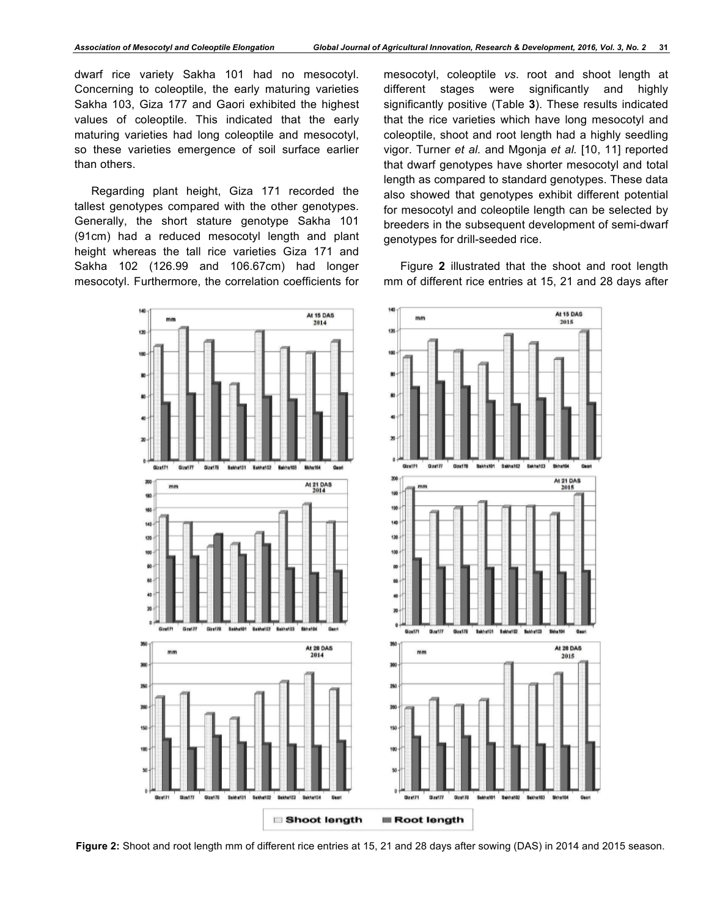dwarf rice variety Sakha 101 had no mesocotyl. Concerning to coleoptile, the early maturing varieties Sakha 103, Giza 177 and Gaori exhibited the highest values of coleoptile. This indicated that the early maturing varieties had long coleoptile and mesocotyl, so these varieties emergence of soil surface earlier than others.

Regarding plant height, Giza 171 recorded the tallest genotypes compared with the other genotypes. Generally, the short stature genotype Sakha 101 (91cm) had a reduced mesocotyl length and plant height whereas the tall rice varieties Giza 171 and Sakha 102 (126.99 and 106.67cm) had longer mesocotyl. Furthermore, the correlation coefficients for mesocotyl, coleoptile *vs*. root and shoot length at different stages were significantly and highly significantly positive (Table **3**). These results indicated that the rice varieties which have long mesocotyl and coleoptile, shoot and root length had a highly seedling vigor. Turner *et al.* and Mgonja *et al.* [10, 11] reported that dwarf genotypes have shorter mesocotyl and total length as compared to standard genotypes. These data also showed that genotypes exhibit different potential for mesocotyl and coleoptile length can be selected by breeders in the subsequent development of semi-dwarf genotypes for drill-seeded rice.

Figure **2** illustrated that the shoot and root length mm of different rice entries at 15, 21 and 28 days after



**Figure 2:** Shoot and root length mm of different rice entries at 15, 21 and 28 days after sowing (DAS) in 2014 and 2015 season.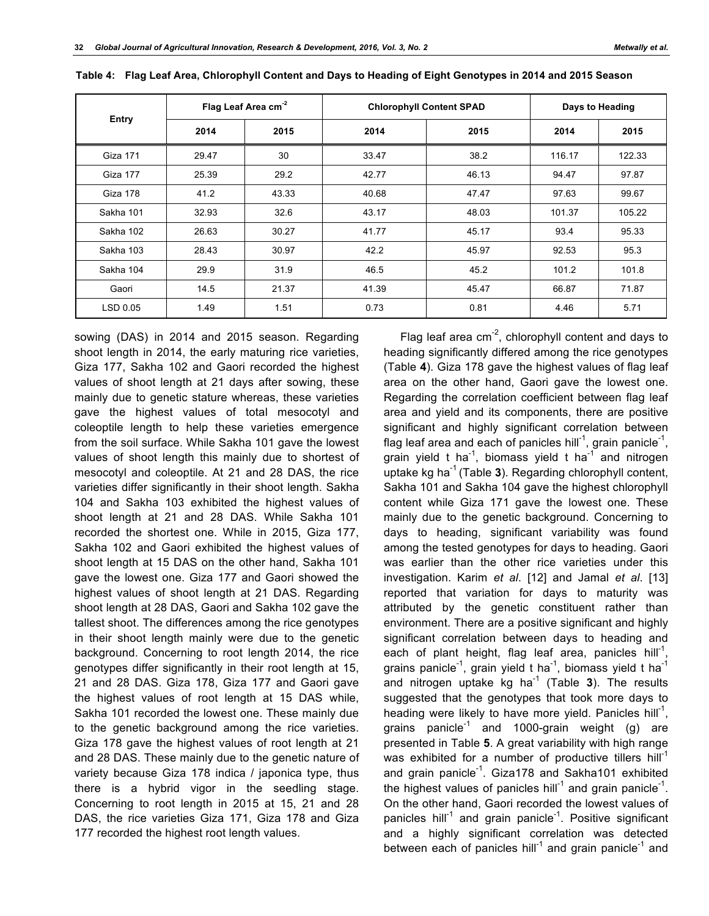|                 |       | Flag Leaf Area cm <sup>-2</sup> | <b>Chlorophyll Content SPAD</b> | Days to Heading |        |        |
|-----------------|-------|---------------------------------|---------------------------------|-----------------|--------|--------|
| Entry           | 2014  | 2015                            | 2014                            | 2015            | 2014   | 2015   |
| <b>Giza 171</b> | 29.47 | 30                              | 33.47                           | 38.2            | 116.17 | 122.33 |
| Giza 177        | 25.39 | 29.2                            | 42.77                           | 46.13           | 94.47  | 97.87  |
| Giza 178        | 41.2  | 43.33                           | 40.68                           | 47.47           | 97.63  | 99.67  |
| Sakha 101       | 32.93 | 32.6                            | 43.17                           | 48.03           | 101.37 | 105.22 |
| Sakha 102       | 26.63 | 30.27                           | 41.77                           | 45.17           | 93.4   | 95.33  |
| Sakha 103       | 28.43 | 30.97                           | 42.2                            | 45.97           | 92.53  | 95.3   |
| Sakha 104       | 29.9  | 31.9                            | 46.5                            | 45.2            | 101.2  | 101.8  |
| Gaori           | 14.5  | 21.37                           | 41.39                           | 45.47           | 66.87  | 71.87  |
| LSD 0.05        | 1.49  | 1.51                            | 0.73                            | 0.81            | 4.46   | 5.71   |

|  |  |  | Table 4: Flag Leaf Area, Chlorophyll Content and Days to Heading of Eight Genotypes in 2014 and 2015 Season |
|--|--|--|-------------------------------------------------------------------------------------------------------------|
|  |  |  |                                                                                                             |

sowing (DAS) in 2014 and 2015 season. Regarding shoot length in 2014, the early maturing rice varieties, Giza 177, Sakha 102 and Gaori recorded the highest values of shoot length at 21 days after sowing, these mainly due to genetic stature whereas, these varieties gave the highest values of total mesocotyl and coleoptile length to help these varieties emergence from the soil surface. While Sakha 101 gave the lowest values of shoot length this mainly due to shortest of mesocotyl and coleoptile. At 21 and 28 DAS, the rice varieties differ significantly in their shoot length. Sakha 104 and Sakha 103 exhibited the highest values of shoot length at 21 and 28 DAS. While Sakha 101 recorded the shortest one. While in 2015, Giza 177, Sakha 102 and Gaori exhibited the highest values of shoot length at 15 DAS on the other hand, Sakha 101 gave the lowest one. Giza 177 and Gaori showed the highest values of shoot length at 21 DAS. Regarding shoot length at 28 DAS, Gaori and Sakha 102 gave the tallest shoot. The differences among the rice genotypes in their shoot length mainly were due to the genetic background. Concerning to root length 2014, the rice genotypes differ significantly in their root length at 15, 21 and 28 DAS. Giza 178, Giza 177 and Gaori gave the highest values of root length at 15 DAS while, Sakha 101 recorded the lowest one. These mainly due to the genetic background among the rice varieties. Giza 178 gave the highest values of root length at 21 and 28 DAS. These mainly due to the genetic nature of variety because Giza 178 indica / japonica type, thus there is a hybrid vigor in the seedling stage. Concerning to root length in 2015 at 15, 21 and 28 DAS, the rice varieties Giza 171, Giza 178 and Giza 177 recorded the highest root length values.

Flag leaf area  $cm^{-2}$ , chlorophyll content and days to heading significantly differed among the rice genotypes (Table **4**). Giza 178 gave the highest values of flag leaf area on the other hand, Gaori gave the lowest one. Regarding the correlation coefficient between flag leaf area and yield and its components, there are positive significant and highly significant correlation between flag leaf area and each of panicles hill<sup>-1</sup>, grain panicle<sup>-1</sup>, grain yield t ha<sup>-1</sup>, biomass yield t ha<sup>-1</sup> and nitrogen uptake kg ha-1 (Table **3**). Regarding chlorophyll content, Sakha 101 and Sakha 104 gave the highest chlorophyll content while Giza 171 gave the lowest one. These mainly due to the genetic background. Concerning to days to heading, significant variability was found among the tested genotypes for days to heading. Gaori was earlier than the other rice varieties under this investigation. Karim *et al*. [12] and Jamal *et al*. [13] reported that variation for days to maturity was attributed by the genetic constituent rather than environment. There are a positive significant and highly significant correlation between days to heading and each of plant height, flag leaf area, panicles hill<sup>-1</sup>, grains panicle<sup>-1</sup>, grain yield t ha<sup>-1</sup>, biomass yield t ha<sup>-1</sup> and nitrogen uptake kg ha<sup>-1</sup> (Table 3). The results suggested that the genotypes that took more days to heading were likely to have more yield. Panicles hill<sup>-1</sup>, grains panicle<sup>-1</sup> and 1000-grain weight (g) are presented in Table **5**. A great variability with high range was exhibited for a number of productive tillers hill<sup>-1</sup> and grain panicle<sup>-1</sup>. Giza178 and Sakha101 exhibited the highest values of panicles hill<sup>-1</sup> and grain panicle<sup>-1</sup>. On the other hand, Gaori recorded the lowest values of panicles hill<sup>-1</sup> and grain panicle<sup>-1</sup>. Positive significant and a highly significant correlation was detected between each of panicles hill<sup>-1</sup> and grain panicle<sup>-1</sup> and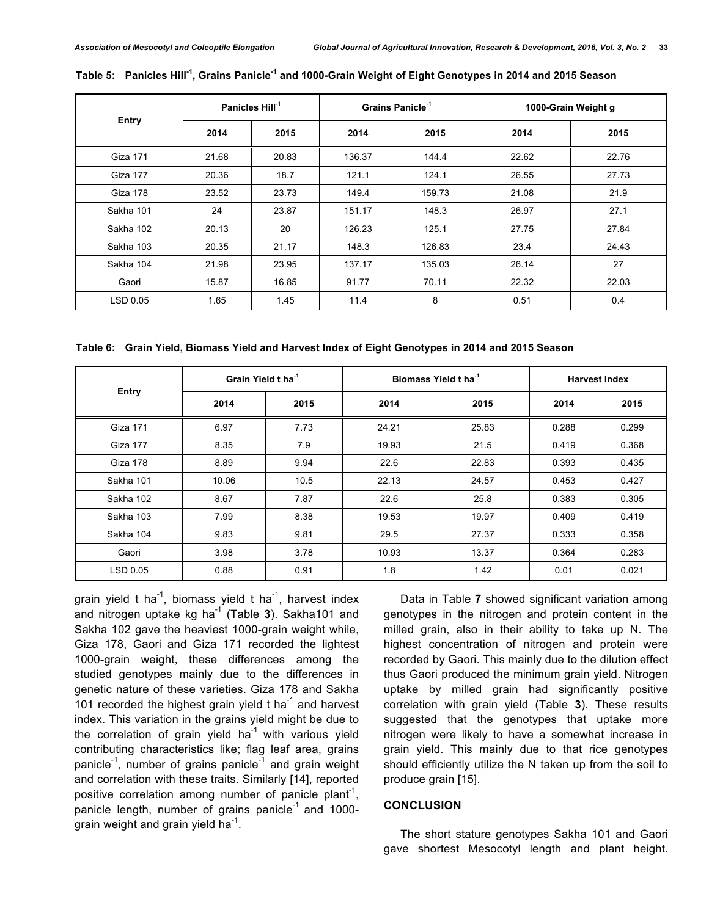|           | Panicles Hill <sup>-1</sup> |       | Grains Panicle <sup>-1</sup> |        | 1000-Grain Weight g |       |  |
|-----------|-----------------------------|-------|------------------------------|--------|---------------------|-------|--|
| Entry     | 2014                        | 2015  | 2014                         | 2015   | 2014                | 2015  |  |
| Giza 171  | 21.68                       | 20.83 | 136.37                       | 144.4  | 22.62               | 22.76 |  |
| Giza 177  | 20.36                       | 18.7  | 121.1                        | 124.1  | 26.55               | 27.73 |  |
| Giza 178  | 23.52                       | 23.73 | 149.4                        | 159.73 | 21.08               | 21.9  |  |
| Sakha 101 | 24                          | 23.87 | 151.17                       | 148.3  | 26.97               | 27.1  |  |
| Sakha 102 | 20.13                       | 20    | 126.23                       | 125.1  | 27.75               | 27.84 |  |
| Sakha 103 | 20.35                       | 21.17 | 148.3                        | 126.83 | 23.4                | 24.43 |  |
| Sakha 104 | 21.98                       | 23.95 | 137.17                       | 135.03 | 26.14               | 27    |  |
| Gaori     | 15.87                       | 16.85 | 91.77                        | 70.11  | 22.32               | 22.03 |  |
| LSD 0.05  | 1.65                        | 1.45  | 11.4                         | 8      | 0.51                | 0.4   |  |

|  |  | Table 5: Panicles Hill <sup>-1</sup> , Grains Panicle <sup>-1</sup> and 1000-Grain Weight of Eight Genotypes in 2014 and 2015 Season |
|--|--|--------------------------------------------------------------------------------------------------------------------------------------|
|--|--|--------------------------------------------------------------------------------------------------------------------------------------|

**Table 6: Grain Yield, Biomass Yield and Harvest Index of Eight Genotypes in 2014 and 2015 Season**

|           | Grain Yield t ha <sup>-1</sup> |      |       | Biomass Yield t ha <sup>-1</sup> | <b>Harvest Index</b> |       |
|-----------|--------------------------------|------|-------|----------------------------------|----------------------|-------|
| Entry     | 2014                           | 2015 | 2014  | 2015                             | 2014                 | 2015  |
| Giza 171  | 6.97                           | 7.73 | 24.21 | 25.83                            | 0.288                | 0.299 |
| Giza 177  | 8.35                           | 7.9  | 19.93 | 21.5                             | 0.419                | 0.368 |
| Giza 178  | 8.89                           | 9.94 | 22.6  | 22.83                            | 0.393                | 0.435 |
| Sakha 101 | 10.06                          | 10.5 | 22.13 | 24.57                            | 0.453                | 0.427 |
| Sakha 102 | 8.67                           | 7.87 | 22.6  | 25.8                             | 0.383                | 0.305 |
| Sakha 103 | 7.99                           | 8.38 | 19.53 | 19.97                            | 0.409                | 0.419 |
| Sakha 104 | 9.83                           | 9.81 | 29.5  | 27.37                            | 0.333                | 0.358 |
| Gaori     | 3.98                           | 3.78 | 10.93 | 13.37                            | 0.364                | 0.283 |
| LSD 0.05  | 0.88                           | 0.91 | 1.8   | 1.42                             | 0.01                 | 0.021 |

grain yield t ha<sup>-1</sup>, biomass yield t ha<sup>-1</sup>, harvest index and nitrogen uptake kg ha-1 (Table **3**). Sakha101 and Sakha 102 gave the heaviest 1000-grain weight while, Giza 178, Gaori and Giza 171 recorded the lightest 1000-grain weight, these differences among the studied genotypes mainly due to the differences in genetic nature of these varieties. Giza 178 and Sakha 101 recorded the highest grain yield  $t$  ha<sup>-1</sup> and harvest index. This variation in the grains yield might be due to the correlation of grain yield ha<sup>-1</sup> with various yield contributing characteristics like; flag leaf area, grains panicle<sup>-1</sup>, number of grains panicle<sup>-1</sup> and grain weight and correlation with these traits. Similarly [14], reported positive correlation among number of panicle plant<sup>-1</sup>, panicle length, number of grains panicle $1$  and 1000grain weight and grain yield ha $^{-1}$ .

Data in Table **7** showed significant variation among genotypes in the nitrogen and protein content in the milled grain, also in their ability to take up N. The highest concentration of nitrogen and protein were recorded by Gaori. This mainly due to the dilution effect thus Gaori produced the minimum grain yield. Nitrogen uptake by milled grain had significantly positive correlation with grain yield (Table **3**). These results suggested that the genotypes that uptake more nitrogen were likely to have a somewhat increase in grain yield. This mainly due to that rice genotypes should efficiently utilize the N taken up from the soil to produce grain [15].

#### **CONCLUSION**

The short stature genotypes Sakha 101 and Gaori gave shortest Mesocotyl length and plant height.